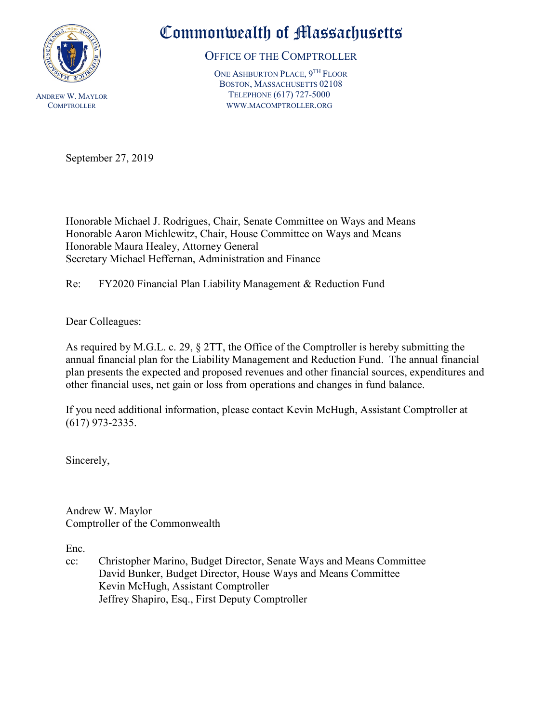

## Commonwealth of Massachusetts

OFFICE OF THE COMPTROLLER

ONE ASHBURTON PLACE, 9TH FLOOR BOSTON, MASSACHUSETTS 02108 TELEPHONE (617) 727-5000 WWW.MACOMPTROLLER.ORG

September 27, 2019

Honorable Michael J. Rodrigues, Chair, Senate Committee on Ways and Means Honorable Aaron Michlewitz, Chair, House Committee on Ways and Means Honorable Maura Healey, Attorney General Secretary Michael Heffernan, Administration and Finance

Re: FY2020 Financial Plan Liability Management & Reduction Fund

Dear Colleagues:

As required by M.G.L. c. 29, § 2TT, the Office of the Comptroller is hereby submitting the annual financial plan for the Liability Management and Reduction Fund. The annual financial plan presents the expected and proposed revenues and other financial sources, expenditures and other financial uses, net gain or loss from operations and changes in fund balance.

If you need additional information, please contact Kevin McHugh, Assistant Comptroller at (617) 973-2335.

Sincerely,

Andrew W. Maylor Comptroller of the Commonwealth

Enc.

cc: Christopher Marino, Budget Director, Senate Ways and Means Committee David Bunker, Budget Director, House Ways and Means Committee Kevin McHugh, Assistant Comptroller Jeffrey Shapiro, Esq., First Deputy Comptroller